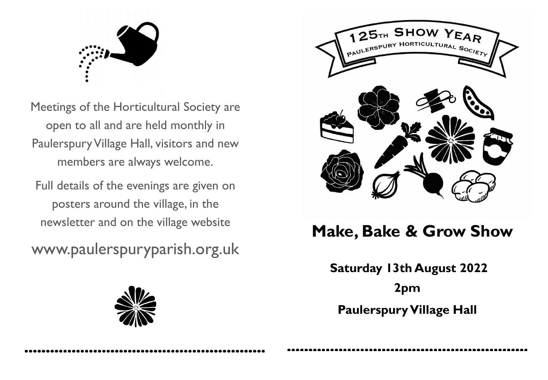

Meetings of the Horticultural Society are open to all and are held monthly in PaulerspuryVillage Hall, visitors and new members are always welcome.

Full details of the evenings are given on posters around the village, in the newsletter and on the village website

www.paulerspuryparish.org.uk





# **Make, Bake & Grow Show**

**Saturday 13th August 2022 2pm Paulerspury Village Hall**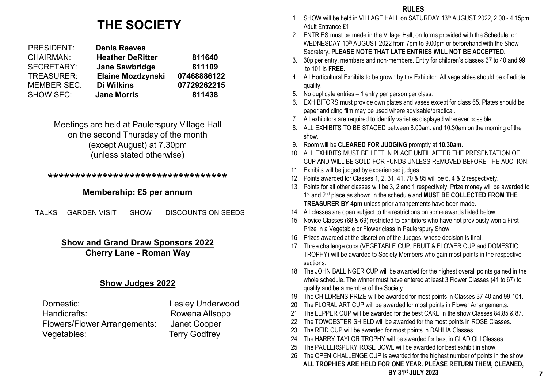## **THE SOCIETY**

| <b>PRESIDENT:</b> | <b>Denis Reeves</b>      |             |
|-------------------|--------------------------|-------------|
| <b>CHAIRMAN:</b>  | <b>Heather DeRitter</b>  | 811640      |
| SECRETARY:        | <b>Jane Sawbridge</b>    | 811109      |
| <b>TREASURER:</b> | <b>Elaine Mozdzynski</b> | 07468886122 |
| MEMBER SEC.       | Di Wilkins               | 07729262215 |
| <b>SHOW SEC:</b>  | <b>Jane Morris</b>       | 811438      |

Meetings are held at Paulerspury Village Hall on the second Thursday of the month (except August) at 7.30pm (unless stated otherwise)

## \*\*\*\*\*\*\*\*\*\*\*\*\*\*\*\*\*\*\*\*\*\*\*\*\*\*\*\*\*\*\*\*\*

## **Membership: £5 per annum**

TALKS GARDEN VISIT SHOW DISCOUNTS ON SEEDS

## **Show and Grand Draw Sponsors 2022 Cherry Lane - Roman Way**

## **Show Judges 2022**

| Domestic:                           | <b>Lesley Underwood</b> |
|-------------------------------------|-------------------------|
| Handicrafts:                        | Rowena Allsopp          |
| <b>Flowers/Flower Arrangements:</b> | Janet Cooper            |
| Vegetables:                         | <b>Terry Godfrey</b>    |

- 1. SHOW will be held in VILLAGE HALL on SATURDAY 13th AUGUST 2022, 2.00 4.15pm Adult Entrance £1.
- 2. ENTRIES must be made in the Village Hall, on forms provided with the Schedule, on WEDNESDAY 10<sup>th</sup> AUGUST 2022 from 7pm to 9.00pm or beforehand with the Show Secretary. **PLEASE NOTE THAT LATE ENTRIES WILL NOT BE ACCEPTED.**
- 3. 30p per entry, members and non-members. Entry for children's classes 37 to 40 and 99 to 101 is **FREE.**
- 4. All Horticultural Exhibits to be grown by the Exhibitor. All vegetables should be of edible quality.
- 5. No duplicate entries 1 entry per person per class.
- 6. EXHIBITORS must provide own plates and vases except for class 65. Plates should be paper and cling film may be used where advisable/practical.
- 7. All exhibitors are required to identify varieties displayed wherever possible.
- 8. ALL EXHIBITS TO BE STAGED between 8:00am. and 10.30am on the morning of the show.
- 9. Room will be **CLEARED FOR JUDGING** promptly at **10.30am**.
- 10. ALL EXHIBITS MUST BE LEFT IN PLACE UNTIL AFTER THE PRESENTATION OF CUP AND WILL BE SOLD FOR FUNDS UNLESS REMOVED BEFORE THE AUCTION.
- 11. Exhibits will be judged by experienced judges.
- 12. Points awarded for Classes 1, 2, 31, 41, 70 & 85 will be 6, 4 & 2 respectively.
- 13. Points for all other classes will be 3, 2 and 1 respectively. Prize money will be awarded to 1st and 2nd place as shown in the schedule and **MUST BE COLLECTED FROM THE TREASURER BY 4pm** unless prior arrangements have been made.
- 14. All classes are open subject to the restrictions on some awards listed below.
- 15. Novice Classes (68 & 69) restricted to exhibitors who have not previously won a First Prize in a Vegetable or Flower class in Paulerspury Show.
- 16. Prizes awarded at the discretion of the Judges, whose decision is final.
- 17. Three challenge cups (VEGETABLE CUP, FRUIT & FLOWER CUP and DOMESTIC TROPHY) will be awarded to Society Members who gain most points in the respective sections.
- 18. The JOHN BALLINGER CUP will be awarded for the highest overall points gained in the whole schedule. The winner must have entered at least 3 Flower Classes (41 to 67) to qualify and be a member of the Society.
- 19. The CHILDRENS PRIZE will be awarded for most points in Classes 37-40 and 99-101.
- 20. The FLORAL ART CUP will be awarded for most points in Flower Arrangements.
- 21. The LEPPER CUP will be awarded for the best CAKE in the show Classes 84,85 & 87.
- 22. The TOWCESTER SHIELD will be awarded for the most points in ROSE Classes.
- 23. The REID CUP will be awarded for most points in DAHLIA Classes.
- 24. The HARRY TAYLOR TROPHY will be awarded for best in GLADIOLI Classes.
- 25. The PAULERSPURY ROSE BOWL will be awarded for best exhibit in show.
- 26. The OPEN CHALLENGE CUP is awarded for the highest number of points in the show. **ALL TROPHIES ARE HELD FOR ONE YEAR. PLEASE RETURN THEM, CLEANED, BY 31st JULY 2023 <sup>7</sup>**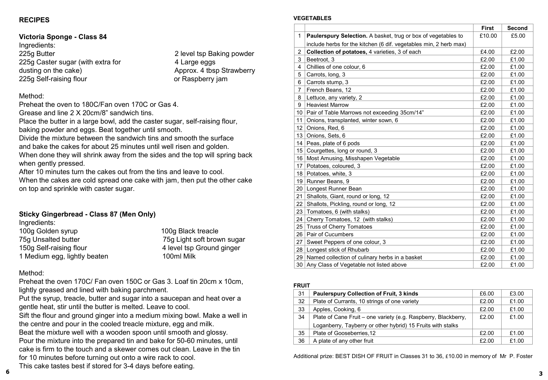## **RECIPES**

## **Victoria Sponge - Class 84**  Ingredients: 225g Butter 225g Butter 225g Butter 225g Butter 225g Butter 225g Caster sugar (with extra for 4 Large eggs

dusting on the cake)  $\blacksquare$  Approx. 4 tbsp Strawberry 225g Self-raising flour and the control or Raspberry jam

#### Method:

Preheat the oven to 180C/Fan oven 170C or Gas 4.

Grease and line 2 X 20cm/8" sandwich tins.

Place the butter in a large bowl, add the caster sugar, self-raising flour, baking powder and eggs. Beat together until smooth.

Divide the mixture between the sandwich tins and smooth the surface and bake the cakes for about 25 minutes until well risen and golden. When done they will shrink away from the sides and the top will spring back when gently pressed.

After 10 minutes turn the cakes out from the tins and leave to cool. When the cakes are cold spread one cake with jam, then put the other cake

#### **Sticky Gingerbread - Class 87 (Men Only)**

on top and sprinkle with caster sugar.

Ingredients: 100g Golden syrup 100g Black treacle 75g Unsalted butter 75g Light soft brown sugar 150g Self-raising flour 150g Self-raising flour 1 Medium egg, lightly beaten 100ml Milk

#### Method:

Preheat the oven 170C/ Fan oven 150C or Gas 3. Loaf tin 20cm x 10cm, lightly greased and lined with baking parchment.

Put the syrup, treacle, butter and sugar into a saucepan and heat over a gentle heat, stir until the butter is melted. Leave to cool.

Sift the flour and ground ginger into a medium mixing bowl. Make a well in the centre and pour in the cooled treacle mixture, egg and milk.

Beat the mixture well with a wooden spoon until smooth and glossy. Pour the mixture into the prepared tin and bake for 50-60 minutes, until cake is firm to the touch and a skewer comes out clean. Leave in the tin for 10 minutes before turning out onto a wire rack to cool.

#### This cake tastes best if stored for 3-4 days before eating. **3 6**

#### **VEGETABLES**

|                  |                                                                      | <b>First</b> | Second |
|------------------|----------------------------------------------------------------------|--------------|--------|
| 1                | <b>Paulerspury Selection.</b> A basket, trug or box of vegetables to | £10.00       | £5.00  |
|                  | include herbs for the kitchen (6 dif. vegetables min, 2 herb max)    |              |        |
| 2                | Collection of potatoes, 4 varieties, 3 of each                       | £4.00        | £2.00  |
| 3                | Beetroot, 3                                                          | £2.00        | £1.00  |
| 4                | Chillies of one colour, 6                                            | £2.00        | £1.00  |
| 5                | Carrots, long, 3                                                     | £2.00        | £1.00  |
| 6                | Carrots stump, 3                                                     | £2.00        | £1.00  |
| $\overline{7}$   | French Beans, 12                                                     | £2.00        | £1.00  |
| 8                | Lettuce, any variety, 2                                              | £2.00        | £1.00  |
| 9                | <b>Heaviest Marrow</b>                                               | £2.00        | £1.00  |
| 10               | Pair of Table Marrows not exceeding 35cm/14"                         | £2.00        | £1.00  |
| 11               | Onions, transplanted, winter sown, 6                                 | £2.00        | £1.00  |
| 12 <sup>°</sup>  | Onions, Red, 6                                                       | £2.00        | £1.00  |
| 13               | Onions, Sets, 6                                                      | £2.00        | £1.00  |
| 14               | Peas, plate of 6 pods                                                | £2.00        | £1.00  |
| 15 <sup>15</sup> | Courgettes, long or round, 3                                         | £2.00        | £1.00  |
| 16               | Most Amusing, Misshapen Vegetable                                    | £2.00        | £1.00  |
| 17               | Potatoes, coloured, 3                                                | £2.00        | £1.00  |
| 18               | Potatoes, white, 3                                                   | £2.00        | £1.00  |
| 19               | Runner Beans, 9                                                      | £2.00        | £1.00  |
| 20               | Longest Runner Bean                                                  | £2.00        | £1.00  |
| 21               | Shallots, Giant, round or long, 12                                   | £2.00        | £1.00  |
| 22               | Shallots, Pickling, round or long, 12                                | £2.00        | £1.00  |
| 23               | Tomatoes, 6 (with stalks)                                            | £2.00        | £1.00  |
| 24               | Cherry Tomatoes, 12 (with stalks)                                    | £2.00        | £1.00  |
| 25               | <b>Truss of Cherry Tomatoes</b>                                      | £2.00        | £1.00  |
| 26               | Pair of Cucumbers                                                    | £2.00        | £1.00  |
| 27               | Sweet Peppers of one colour, 3                                       | £2.00        | £1.00  |
| 28               | Longest stick of Rhubarb                                             | £2.00        | £1.00  |
| 29               | Named collection of culinary herbs in a basket                       | £2.00        | £1.00  |
| 30               | Any Class of Vegetable not listed above                              | £2.00        | £1.00  |

#### **FRUIT**

| 31 | <b>Paulerspury Collection of Fruit, 3 kinds</b>                | £6.00 | £3.00 |
|----|----------------------------------------------------------------|-------|-------|
| 32 | Plate of Currants, 10 strings of one variety                   | £2.00 | £1.00 |
| 33 | Apples, Cooking, 6                                             | £2.00 | £1.00 |
| 34 | Plate of Cane Fruit - one variety (e.g. Raspberry, Blackberry, | £2.00 | £1.00 |
|    | Loganberry, Tayberry or other hybrid) 15 Fruits with stalks    |       |       |
| 35 | Plate of Gooseberries.12                                       | £2.00 | £1.00 |
| 36 | A plate of any other fruit                                     | £2.00 | £1.00 |

Additional prize: BEST DISH OF FRUIT in Classes 31 to 36, £10.00 in memory of Mr P. Foster